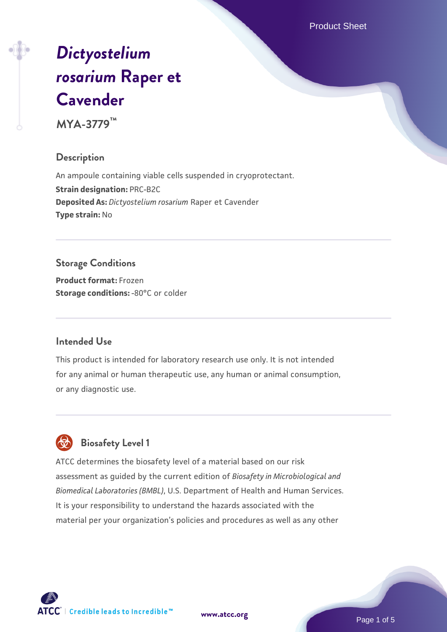Product Sheet

# *[Dictyostelium](https://www.atcc.org/products/mya-3779) [rosarium](https://www.atcc.org/products/mya-3779)* **[Raper et](https://www.atcc.org/products/mya-3779) [Cavender](https://www.atcc.org/products/mya-3779)**

**MYA-3779™**

#### **Description**

An ampoule containing viable cells suspended in cryoprotectant. **Strain designation:** PRC-B2C **Deposited As:** *Dictyostelium rosarium* Raper et Cavender **Type strain:** No

## **Storage Conditions**

**Product format:** Frozen **Storage conditions: -80°C** or colder

#### **Intended Use**

This product is intended for laboratory research use only. It is not intended for any animal or human therapeutic use, any human or animal consumption, or any diagnostic use.



## **Biosafety Level 1**

ATCC determines the biosafety level of a material based on our risk assessment as guided by the current edition of *Biosafety in Microbiological and Biomedical Laboratories (BMBL)*, U.S. Department of Health and Human Services. It is your responsibility to understand the hazards associated with the material per your organization's policies and procedures as well as any other

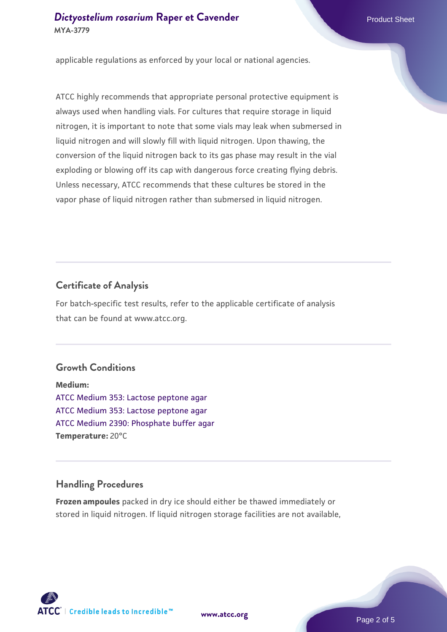applicable regulations as enforced by your local or national agencies.

ATCC highly recommends that appropriate personal protective equipment is always used when handling vials. For cultures that require storage in liquid nitrogen, it is important to note that some vials may leak when submersed in liquid nitrogen and will slowly fill with liquid nitrogen. Upon thawing, the conversion of the liquid nitrogen back to its gas phase may result in the vial exploding or blowing off its cap with dangerous force creating flying debris. Unless necessary, ATCC recommends that these cultures be stored in the vapor phase of liquid nitrogen rather than submersed in liquid nitrogen.

## **Certificate of Analysis**

For batch-specific test results, refer to the applicable certificate of analysis that can be found at www.atcc.org.

#### **Growth Conditions**

**Medium:**  [ATCC Medium 353: Lactose peptone agar](https://www.atcc.org/-/media/product-assets/documents/microbial-media-formulations/3/5/3/atcc-medium-353.pdf?rev=9ed23b356caa4dfebcf9e6590ea13ec3) [ATCC Medium 353: Lactose peptone agar](https://www.atcc.org/-/media/product-assets/documents/microbial-media-formulations/3/5/3/atcc-medium-353.pdf?rev=9ed23b356caa4dfebcf9e6590ea13ec3) [ATCC Medium 2390: Phosphate buffer agar](https://www.atcc.org/-/media/product-assets/documents/microbial-media-formulations/3/9/0/atcc-medium-2390.pdf?rev=89996af703964c13ba1f47c60a6eae4e) **Temperature:** 20°C

## **Handling Procedures**

**Frozen ampoules** packed in dry ice should either be thawed immediately or stored in liquid nitrogen. If liquid nitrogen storage facilities are not available,

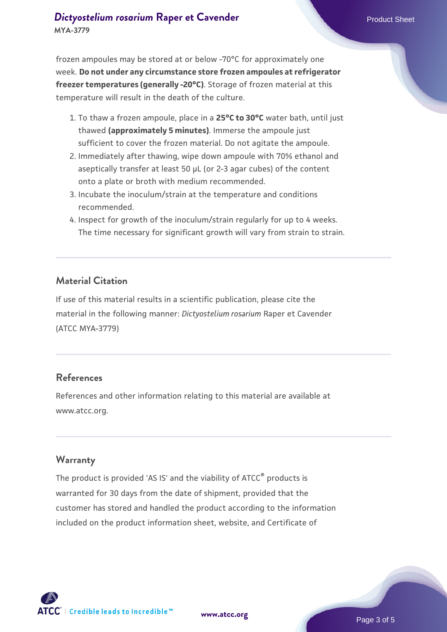frozen ampoules may be stored at or below -70°C for approximately one week. **Do not under any circumstance store frozen ampoules at refrigerator freezer temperatures (generally -20°C)**. Storage of frozen material at this temperature will result in the death of the culture.

- 1. To thaw a frozen ampoule, place in a **25°C to 30°C** water bath, until just thawed **(approximately 5 minutes)**. Immerse the ampoule just sufficient to cover the frozen material. Do not agitate the ampoule.
- 2. Immediately after thawing, wipe down ampoule with 70% ethanol and aseptically transfer at least 50 µL (or 2-3 agar cubes) of the content onto a plate or broth with medium recommended.
- 3. Incubate the inoculum/strain at the temperature and conditions recommended.
- 4. Inspect for growth of the inoculum/strain regularly for up to 4 weeks. The time necessary for significant growth will vary from strain to strain.

#### **Material Citation**

If use of this material results in a scientific publication, please cite the material in the following manner: *Dictyostelium rosarium* Raper et Cavender (ATCC MYA-3779)

#### **References**

References and other information relating to this material are available at www.atcc.org.

#### **Warranty**

The product is provided 'AS IS' and the viability of ATCC® products is warranted for 30 days from the date of shipment, provided that the customer has stored and handled the product according to the information included on the product information sheet, website, and Certificate of

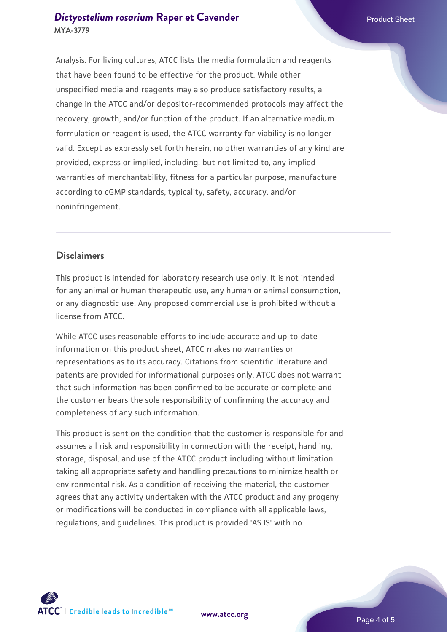#### **[Dictyostelium rosarium](https://www.atcc.org/products/mya-3779) [Raper et Cavender](https://www.atcc.org/products/mya-3779)** Product Sheet **MYA-3779**

Analysis. For living cultures, ATCC lists the media formulation and reagents that have been found to be effective for the product. While other unspecified media and reagents may also produce satisfactory results, a change in the ATCC and/or depositor-recommended protocols may affect the recovery, growth, and/or function of the product. If an alternative medium formulation or reagent is used, the ATCC warranty for viability is no longer valid. Except as expressly set forth herein, no other warranties of any kind are provided, express or implied, including, but not limited to, any implied warranties of merchantability, fitness for a particular purpose, manufacture according to cGMP standards, typicality, safety, accuracy, and/or noninfringement.

#### **Disclaimers**

This product is intended for laboratory research use only. It is not intended for any animal or human therapeutic use, any human or animal consumption, or any diagnostic use. Any proposed commercial use is prohibited without a license from ATCC.

While ATCC uses reasonable efforts to include accurate and up-to-date information on this product sheet, ATCC makes no warranties or representations as to its accuracy. Citations from scientific literature and patents are provided for informational purposes only. ATCC does not warrant that such information has been confirmed to be accurate or complete and the customer bears the sole responsibility of confirming the accuracy and completeness of any such information.

This product is sent on the condition that the customer is responsible for and assumes all risk and responsibility in connection with the receipt, handling, storage, disposal, and use of the ATCC product including without limitation taking all appropriate safety and handling precautions to minimize health or environmental risk. As a condition of receiving the material, the customer agrees that any activity undertaken with the ATCC product and any progeny or modifications will be conducted in compliance with all applicable laws, regulations, and guidelines. This product is provided 'AS IS' with no